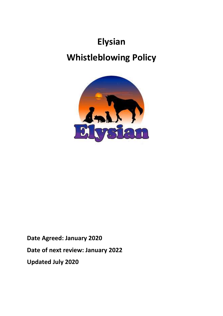# **Elysian Whistleblowing Policy**



**Date Agreed: January 2020 Date of next review: January 2022 Updated July 2020**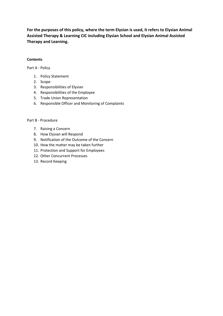**For the purposes of this policy, where the term Elysian is used, it refers to Elysian Animal Assisted Therapy & Learning CIC including Elysian School and Elysian Animal Assisted Therapy and Learning.**

# **Contents**

Part A - Policy

- 1. Policy Statement
- 2. Scope
- 3. Responsibilities of Elysian
- 4. Responsibilities of the Employee
- 5. Trade Union Representation
- 6. Responsible Officer and Monitoring of Complaints

#### Part B - Procedure

- 7. Raising a Concern
- 8. How Elysian will Respond
- 9. Notification of the Outcome of the Concern
- 10. How the matter may be taken further
- 11. Protection and Support for Employees
- 12. Other Concurrent Processes
- 13. Record Keeping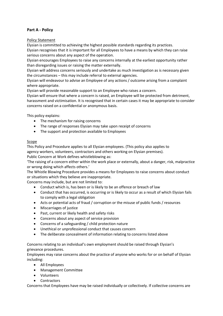# **Part A - Policy**

Policy Statement

Elysian is committed to achieving the highest possible standards regarding its practices.

Elysian recognises that it is important for all Employees to have a means by which they can raise serious concerns about any aspect of the operation.

Elysian encourages Employees to raise any concerns internally at the earliest opportunity rather than disregarding issues or raising the matter externally.

Elysian will address concerns seriously and undertake as much investigation as is necessary given the circumstances – this may include referral to external agencies.

Elysian will endeavour to advise an Employee of any actions / outcome arising from a complaint where appropriate.

Elysian will provide reasonable support to an Employee who raises a concern.

Elysian will ensure that where a concern is raised, an Employee will be protected from detriment, harassment and victimisation. It is recognised that in certain cases it may be appropriate to consider concerns raised on a confidential or anonymous basis.

This policy explains:

- The mechanism for raising concerns
- The range of responses Elysian may take upon receipt of concerns
- The support and protection available to Employees

# Scope

This Policy and Procedure applies to all Elysian employees. (This policy also applies to agency workers, volunteers, contractors and others working on Elysian premises).

Public Concern at Work defines whistleblowing as:

'The raising of a concern either within the work place or externally, about a danger, risk, malpractice or wrong doing which affects others.'

The Whistle Blowing Procedure provides a means for Employees to raise concerns about conduct or situations which they believe are inappropriate.

Concerns may include, but are not limited to:

- Conduct which is, has been or is likely to be an offence or breach of law
- Conduct that has occurred, is occurring or is likely to occur as a result of which Elysian fails to comply with a legal obligation
- Acts or potential acts of fraud / corruption or the misuse of public funds / resources
- Miscarriages of justice
- Past, current or likely health and safety risks
- Concerns about any aspect of service provision
- Concerns of a safeguarding / child protection nature
- Unethical or unprofessional conduct that causes concern
- The deliberate concealment of information relating to concerns listed above

Concerns relating to an individual's own employment should be raised through Elysian's grievance procedures.

Employees may raise concerns about the practice of anyone who works for or on behalf of Elysian including:

- All Employees
- Management Committee
- Volunteers
- Contractors

Concerns that Employees have may be raised individually or collectively. If collective concerns are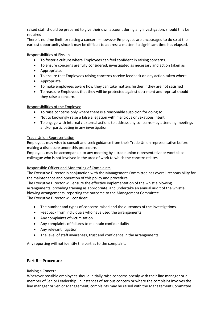raised staff should be prepared to give their own account during any investigation, should this be required.

There is no time limit for raising a concern – however Employees are encouraged to do so at the earliest opportunity since it may be difficult to address a matter if a significant time has elapsed.

#### Responsibilities of Elysian

- To foster a culture where Employees can feel confident in raising concerns.
- To ensure concerns are fully considered, investigated as necessary and action taken as
- Appropriate.
- To ensure that Employees raising concerns receive feedback on any action taken where
- Appropriate.
- To make employees aware how they can take matters further if they are not satisfied
- To reassure Employees that they will be protected against detriment and reprisal should they raise a concern.

# Responsibilities of the Employee

- To raise concerns only where there is a reasonable suspicion for doing so
- Not to knowingly raise a false allegation with malicious or vexatious intent
- To engage with internal / external actions to address any concerns by attending meetings and/or participating in any investigation

#### Trade Union Representation

Employees may wish to consult and seek guidance from their Trade Union representative before making a disclosure under this procedure.

Employees may be accompanied to any meeting by a trade union representative or workplace colleague who is not involved in the area of work to which the concern relates.

#### Responsible Officer and Monitoring of Complaints

The Executive Director in conjunction with the Management Committee has overall responsibility for the maintenance and operation of this policy and procedure.

The Executive Director will ensure the effective implementation of the whistle blowing arrangements, providing training as appropriate, and undertake an annual audit of the whistle blowing arrangements, reporting the outcome to the Management Committee. The Executive Director will consider:

- The number and types of concerns raised and the outcomes of the investigations.
- Feedback from individuals who have used the arrangements
- Any complaints of victimisation
- Any complaints of failures to maintain confidentiality
- Any relevant litigation
- The level of staff awareness, trust and confidence in the arrangements

Any reporting will not identify the parties to the complaint.

#### **Part B – Procedure**

#### Raising a Concern

Wherever possible employees should initially raise concerns openly with their line manager or a member of Senior Leadership. In instances of serious concern or where the complaint involves the line manager or Senior Management, complaints may be raised with the Management Committee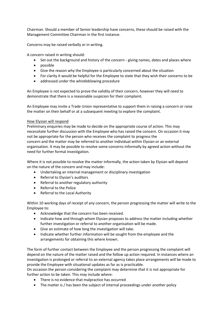Chairman. Should a member of Senior leadership have concerns, these should be raised with the Management Committee Chairman in the first instance.

Concerns may be raised verbally or in writing.

A concern raised in writing should:

- Set out the background and history of the concern giving names, dates and places where
- possible
- Give the reason why the Employee is particularly concerned about the situation
- For clarity it would be helpful for the Employee to state that they wish their concerns to be
- addressed under the whistleblowing procedure

An Employee is not expected to prove the validity of their concern, however they will need to demonstrate that there is a reasonable suspicion for their complaint.

An Employee may invite a Trade Union representative to support them in raising a concern or raise the matter on their behalf or at a subsequent meeting to explore the complaint.

# How Elysian will respond

Preliminary enquiries may be made to decide on the appropriate course of action. This may necessitate further discussion with the Employee who has raised the concern. On occasion it may not be appropriate for the person who receives the complaint to progress the concern and the matter may be referred to another individual within Elysian or an external organisation. It may be possible to resolve some concerns informally by agreed action without the need for further formal investigation.

Where it is not possible to resolve the matter informally, the action taken by Elysian will depend on the nature of the concern and may include:

- Undertaking an internal management or disciplinary investigation
- Referral to Elysian's auditors
- Referral to another regulatory authority
- Referral to the Police
- Referral to the Local Authority

Within 10 working days of receipt of any concern, the person progressing the matter will write to the Employee to:

- Acknowledge that the concern has been received.
- Indicate how and through whom Elysian proposes to address the matter including whether further investigation or referral to another organisation will be made.
- Give an estimate of how long the investigation will take.
- Indicate whether further information will be sought from the employee and the arrangements for obtaining this where known.

The form of further contact between the Employee and the person progressing the complaint will depend on the nature of the matter raised and the follow up action required. In instances where an investigation is prolonged or referral to an external agency takes place arrangements will be made to provide the Employee with situational updates as far as is practicable.

On occasion the person considering the complaint may determine that it is not appropriate for further action to be taken. This may include where:

- There is no evidence that malpractice has occurred
- The matter is / has been the subject of internal proceedings under another policy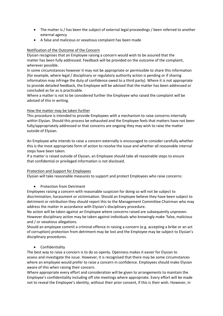- The matter is / has been the subject of external legal proceedings / been referred to another external agency
- A false and malicious or vexatious complaint has been made

# Notification of the Outcome of the Concern

Elysian recognises that an Employee raising a concern would wish to be assured that the matter has been fully addressed. Feedback will be provided on the outcome of the complaint, wherever possible.

In some circumstances however it may not be appropriate or permissible to share this information (for example, where legal / disciplinary or regulatory authority action is pending or if sharing information may infringe the duty of confidence owed to a third party). Where it is not appropriate to provide detailed feedback, the Employee will be advised that the matter has been addressed or concluded as far as is practicable.

Where a matter is not to be considered further the Employee who raised the complaint will be advised of this in writing.

# How the matter may be taken further

This procedure is intended to provide Employees with a mechanism to raise concerns internally within Elysian. Should this process be exhausted and the Employee feels that matters have not been fully/appropriately addressed or that concerns are ongoing they may wish to raise the matter outside of Elysian.

An Employee who intends to raise a concern externally is encouraged to consider carefully whether this is the most appropriate form of action to resolve the issue and whether all reasonable internal steps have been taken.

If a matter is raised outside of Elysian, an Employee should take all reasonable steps to ensure that confidential or privileged information is not disclosed.

#### Protection and Support for Employees

Elysian will take reasonable measures to support and protect Employees who raise concerns:

# • Protection from Detriment

Employees raising a concern with reasonable suspicion for doing so will not be subject to discrimination, harassment or victimisation. Should an Employee believe they have been subject to detriment or retribution they should report this to the Management Committee Chairman who may address the matter in accordance with Elysian's disciplinary procedure.

No action will be taken against an Employee where concerns raised are subsequently unproven. However disciplinary action may be taken against individuals who knowingly make 'false, malicious and / or vexatious allegations.

Should an employee commit a criminal offence in raising a concern (e.g. accepting a bribe or an act of corruption) protection from detriment may be lost and the Employee may be subject to Elysian's disciplinary procedures.

#### • Confidentiality

The best way to raise a concern is to do so openly. Openness makes it easier for Elysian to assess and investigate the issue. However, it is recognised that there may be some circumstances where an employee would prefer to raise a concern in confidence. Employees should make Elysian aware of this when raising their concern.

Where appropriate every effort and consideration will be given to arrangements to maintain the Employee's confidentiality including off site meetings where appropriate. Every effort will be made not to reveal the Employee's identity, without their prior consent, if this is their wish. However, in